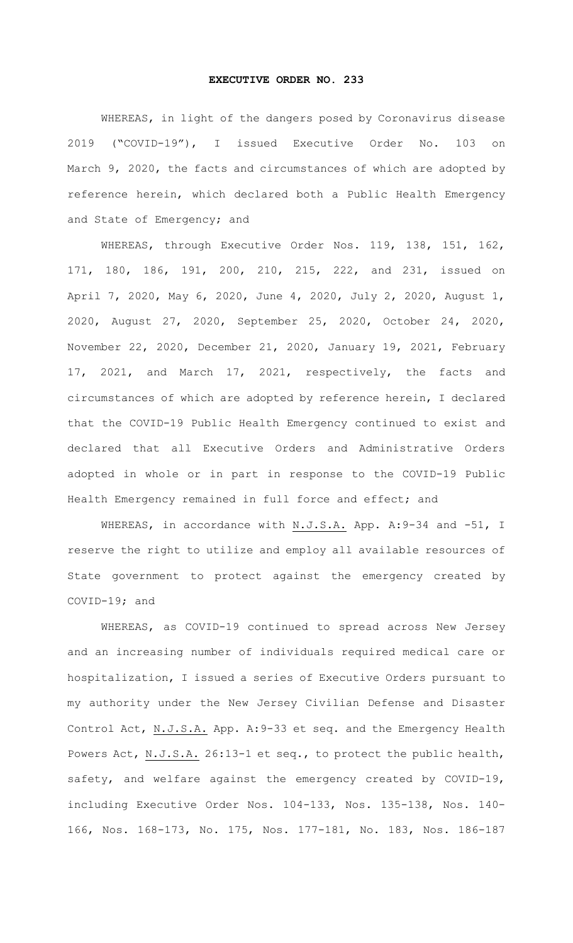## **EXECUTIVE ORDER NO. 233**

 WHEREAS, in light of the dangers posed by Coronavirus disease 2019 ("COVID-19"), I issued Executive Order No. 103 on March 9, 2020, the facts and circumstances of which are adopted by reference herein, which declared both a Public Health Emergency and State of Emergency; and

 WHEREAS, through Executive Order Nos. 119, 138, 151, 162, 171, 180, 186, 191, 200, 210, 215, 222, and 231, issued on April 7, 2020, May 6, 2020, June 4, 2020, July 2, 2020, August 1, 2020, August 27, 2020, September 25, 2020, October 24, 2020, November 22, 2020, December 21, 2020, January 19, 2021, February 17, 2021, and March 17, 2021, respectively, the facts and circumstances of which are adopted by reference herein, I declared that the COVID-19 Public Health Emergency continued to exist and declared that all Executive Orders and Administrative Orders adopted in whole or in part in response to the COVID-19 Public Health Emergency remained in full force and effect; and

WHEREAS, in accordance with N.J.S.A. App. A: 9-34 and -51, I reserve the right to utilize and employ all available resources of State government to protect against the emergency created by COVID-19; and

 WHEREAS, as COVID-19 continued to spread across New Jersey and an increasing number of individuals required medical care or hospitalization, I issued a series of Executive Orders pursuant to my authority under the New Jersey Civilian Defense and Disaster Control Act, N.J.S.A. App. A: 9-33 et seq. and the Emergency Health Powers Act, N.J.S.A. 26:13-1 et seq., to protect the public health, safety, and welfare against the emergency created by COVID-19, including Executive Order Nos. 104-133, Nos. 135-138, Nos. 140- 166, Nos. 168-173, No. 175, Nos. 177-181, No. 183, Nos. 186-187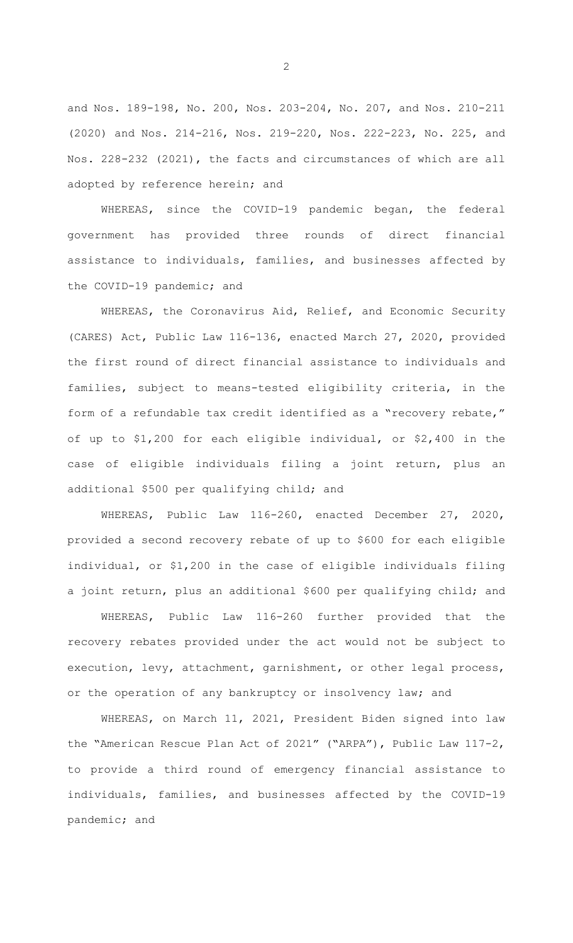and Nos. 189-198, No. 200, Nos. 203-204, No. 207, and Nos. 210-211 (2020) and Nos. 214-216, Nos. 219-220, Nos. 222-223, No. 225, and Nos. 228-232 (2021), the facts and circumstances of which are all adopted by reference herein; and

 WHEREAS, since the COVID-19 pandemic began, the federal government has provided three rounds of direct financial assistance to individuals, families, and businesses affected by the COVID-19 pandemic; and

 WHEREAS, the Coronavirus Aid, Relief, and Economic Security (CARES) Act, Public Law 116-136, enacted March 27, 2020, provided the first round of direct financial assistance to individuals and families, subject to means-tested eligibility criteria, in the form of a refundable tax credit identified as a "recovery rebate," of up to \$1,200 for each eligible individual, or \$2,400 in the case of eligible individuals filing a joint return, plus an additional \$500 per qualifying child; and

 WHEREAS, Public Law 116-260, enacted December 27, 2020, provided a second recovery rebate of up to \$600 for each eligible individual, or \$1,200 in the case of eligible individuals filing a joint return, plus an additional \$600 per qualifying child; and

 WHEREAS, Public Law 116-260 further provided that the recovery rebates provided under the act would not be subject to execution, levy, attachment, garnishment, or other legal process, or the operation of any bankruptcy or insolvency law; and

 WHEREAS, on March 11, 2021, President Biden signed into law the "American Rescue Plan Act of 2021" ("ARPA"), Public Law 117-2, to provide a third round of emergency financial assistance to individuals, families, and businesses affected by the COVID-19 pandemic; and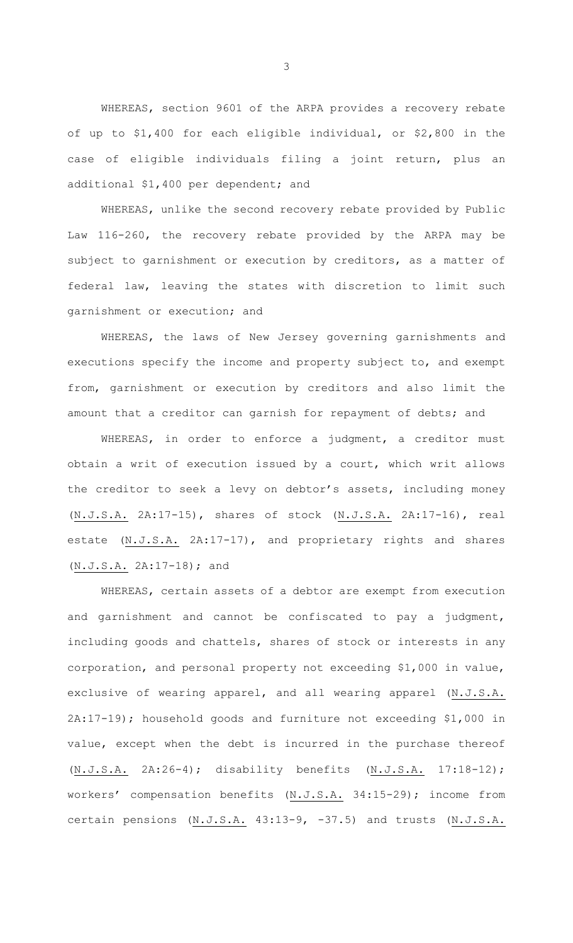WHEREAS, section 9601 of the ARPA provides a recovery rebate of up to \$1,400 for each eligible individual, or \$2,800 in the case of eligible individuals filing a joint return, plus an additional \$1,400 per dependent; and

 WHEREAS, unlike the second recovery rebate provided by Public Law 116-260, the recovery rebate provided by the ARPA may be subject to garnishment or execution by creditors, as a matter of federal law, leaving the states with discretion to limit such garnishment or execution; and

 WHEREAS, the laws of New Jersey governing garnishments and executions specify the income and property subject to, and exempt from, garnishment or execution by creditors and also limit the amount that a creditor can garnish for repayment of debts; and

 WHEREAS, in order to enforce a judgment, a creditor must obtain a writ of execution issued by a court, which writ allows the creditor to seek a levy on debtor's assets, including money (N.J.S.A. 2A:17-15), shares of stock (N.J.S.A. 2A:17-16), real estate (N.J.S.A. 2A:17-17), and proprietary rights and shares (N.J.S.A. 2A:17-18); and

 WHEREAS, certain assets of a debtor are exempt from execution and garnishment and cannot be confiscated to pay a judgment, including goods and chattels, shares of stock or interests in any corporation, and personal property not exceeding \$1,000 in value, exclusive of wearing apparel, and all wearing apparel (N.J.S.A. 2A:17-19); household goods and furniture not exceeding \$1,000 in value, except when the debt is incurred in the purchase thereof (N.J.S.A. 2A:26-4); disability benefits (N.J.S.A. 17:18-12); workers' compensation benefits (N.J.S.A. 34:15-29); income from certain pensions (N.J.S.A. 43:13-9, -37.5) and trusts (N.J.S.A.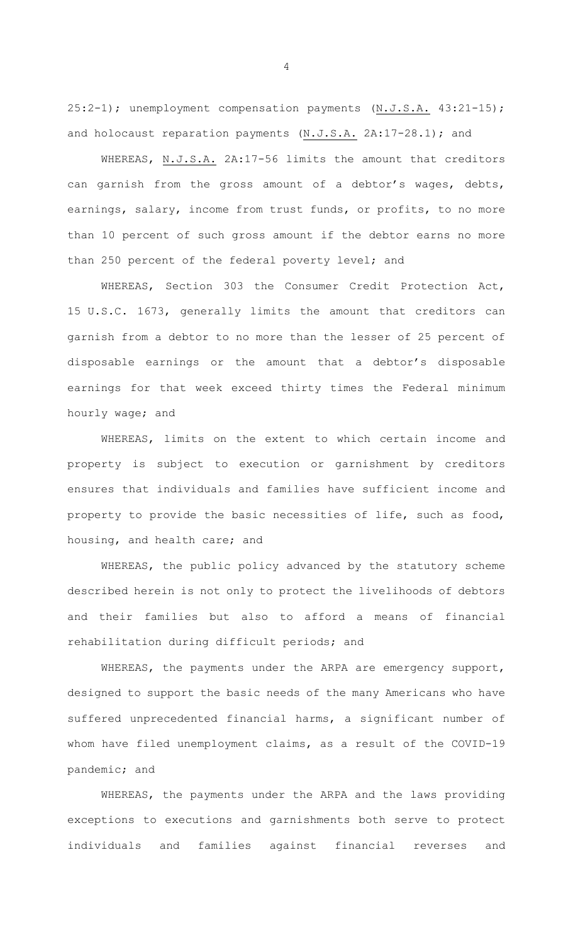25:2-1); unemployment compensation payments (N.J.S.A. 43:21-15); and holocaust reparation payments (N.J.S.A. 2A:17-28.1); and

 WHEREAS, N.J.S.A. 2A:17-56 limits the amount that creditors can garnish from the gross amount of a debtor's wages, debts, earnings, salary, income from trust funds, or profits, to no more than 10 percent of such gross amount if the debtor earns no more than 250 percent of the federal poverty level; and

 WHEREAS, Section 303 the Consumer Credit Protection Act, 15 U.S.C. 1673, generally limits the amount that creditors can garnish from a debtor to no more than the lesser of 25 percent of disposable earnings or the amount that a debtor's disposable earnings for that week exceed thirty times the Federal minimum hourly wage; and

 WHEREAS, limits on the extent to which certain income and property is subject to execution or garnishment by creditors ensures that individuals and families have sufficient income and property to provide the basic necessities of life, such as food, housing, and health care; and

 WHEREAS, the public policy advanced by the statutory scheme described herein is not only to protect the livelihoods of debtors and their families but also to afford a means of financial rehabilitation during difficult periods; and

 WHEREAS, the payments under the ARPA are emergency support, designed to support the basic needs of the many Americans who have suffered unprecedented financial harms, a significant number of whom have filed unemployment claims, as a result of the COVID-19 pandemic; and

 WHEREAS, the payments under the ARPA and the laws providing exceptions to executions and garnishments both serve to protect individuals and families against financial reverses and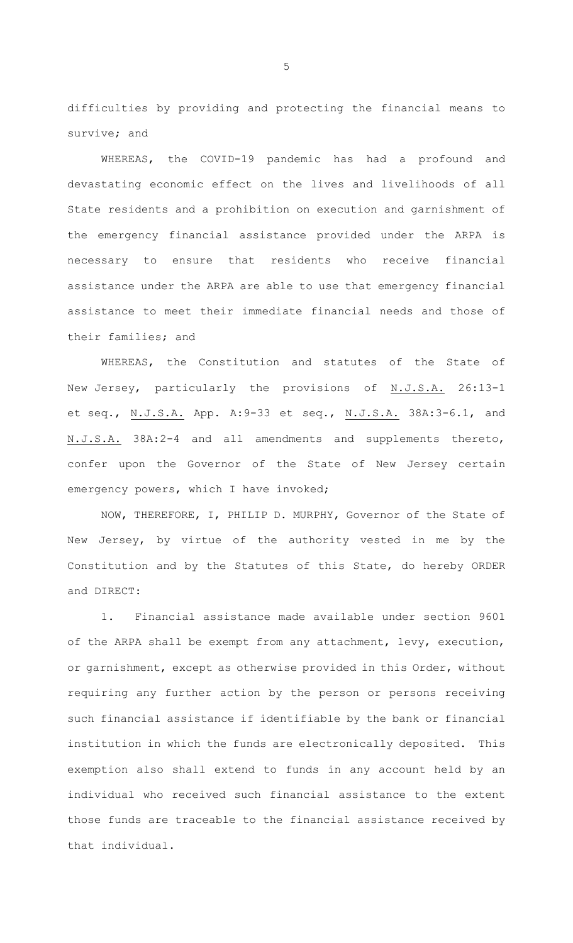difficulties by providing and protecting the financial means to survive; and

 WHEREAS, the COVID-19 pandemic has had a profound and devastating economic effect on the lives and livelihoods of all State residents and a prohibition on execution and garnishment of the emergency financial assistance provided under the ARPA is necessary to ensure that residents who receive financial assistance under the ARPA are able to use that emergency financial assistance to meet their immediate financial needs and those of their families; and

 WHEREAS, the Constitution and statutes of the State of New Jersey, particularly the provisions of N.J.S.A. 26:13-1 et seq., N.J.S.A. App. A: 9-33 et seq., N.J.S.A. 38A: 3-6.1, and N.J.S.A. 38A:2-4 and all amendments and supplements thereto, confer upon the Governor of the State of New Jersey certain emergency powers, which I have invoked;

 NOW, THEREFORE, I, PHILIP D. MURPHY, Governor of the State of New Jersey, by virtue of the authority vested in me by the Constitution and by the Statutes of this State, do hereby ORDER and DIRECT:

1. Financial assistance made available under section 9601 of the ARPA shall be exempt from any attachment, levy, execution, or garnishment, except as otherwise provided in this Order, without requiring any further action by the person or persons receiving such financial assistance if identifiable by the bank or financial institution in which the funds are electronically deposited. This exemption also shall extend to funds in any account held by an individual who received such financial assistance to the extent those funds are traceable to the financial assistance received by that individual.